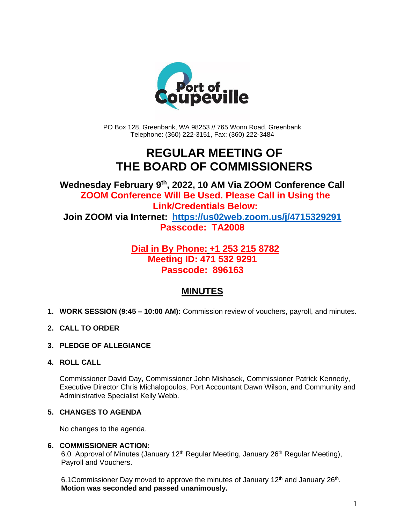

PO Box 128, Greenbank, WA 98253 // 765 Wonn Road, Greenbank Telephone: (360) 222-3151, Fax: (360) 222-3484

## **REGULAR MEETING OF THE BOARD OF COMMISSIONERS**

**Wednesday February 9th , 2022, 10 AM Via ZOOM Conference Call ZOOM Conference Will Be Used. Please Call in Using the Link/Credentials Below: Join ZOOM via Internet: <https://us02web.zoom.us/j/4715329291> Passcode: TA2008**

### **Dial in By Phone: +1 253 215 8782 Meeting ID: 471 532 9291 Passcode: 896163**

## **MINUTES**

- **1. WORK SESSION (9:45 – 10:00 AM):** Commission review of vouchers, payroll, and minutes.
- **2. CALL TO ORDER**
- **3. PLEDGE OF ALLEGIANCE**
- **4. ROLL CALL**

Commissioner David Day, Commissioner John Mishasek, Commissioner Patrick Kennedy, Executive Director Chris Michalopoulos, Port Accountant Dawn Wilson, and Community and Administrative Specialist Kelly Webb.

#### **5. CHANGES TO AGENDA**

No changes to the agenda.

#### **6. COMMISSIONER ACTION:**

6.0 Approval of Minutes (January 12<sup>th</sup> Regular Meeting, January 26<sup>th</sup> Regular Meeting), Payroll and Vouchers.

6.1 Commissioner Day moved to approve the minutes of January  $12<sup>th</sup>$  and January  $26<sup>th</sup>$ . **Motion was seconded and passed unanimously.**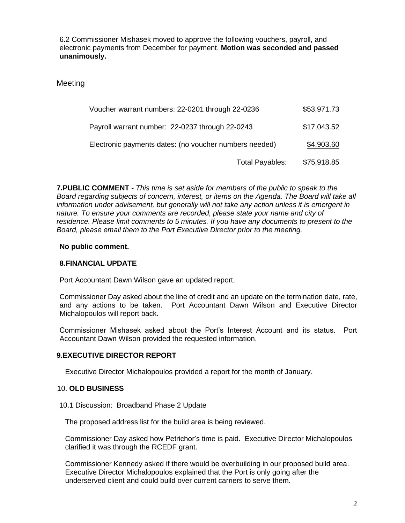6.2 Commissioner Mishasek moved to approve the following vouchers, payroll, and electronic payments from December for payment. **Motion was seconded and passed unanimously.**

**Meeting** 

| Voucher warrant numbers: 22-0201 through 22-0236       | \$53,971.73        |
|--------------------------------------------------------|--------------------|
| Payroll warrant number: 22-0237 through 22-0243        | \$17,043.52        |
| Electronic payments dates: (no voucher numbers needed) | \$4,903.60         |
| Total Payables:                                        | <u>\$75,918.85</u> |

**7.PUBLIC COMMENT -** *This time is set aside for members of the public to speak to the Board regarding subjects of concern, interest, or items on the Agenda. The Board will take all information under advisement, but generally will not take any action unless it is emergent in nature. To ensure your comments are recorded, please state your name and city of residence. Please limit comments to 5 minutes. If you have any documents to present to the Board, please email them to the Port Executive Director prior to the meeting.*

#### **No public comment.**

#### **8.FINANCIAL UPDATE**

Port Accountant Dawn Wilson gave an updated report.

Commissioner Day asked about the line of credit and an update on the termination date, rate, and any actions to be taken. Port Accountant Dawn Wilson and Executive Director Michalopoulos will report back.

Commissioner Mishasek asked about the Port's Interest Account and its status. Port Accountant Dawn Wilson provided the requested information.

#### **9.EXECUTIVE DIRECTOR REPORT**

Executive Director Michalopoulos provided a report for the month of January.

#### 10. **OLD BUSINESS**

10.1 Discussion: Broadband Phase 2 Update

The proposed address list for the build area is being reviewed.

Commissioner Day asked how Petrichor's time is paid. Executive Director Michalopoulos clarified it was through the RCEDF grant.

Commissioner Kennedy asked if there would be overbuilding in our proposed build area. Executive Director Michalopoulos explained that the Port is only going after the underserved client and could build over current carriers to serve them.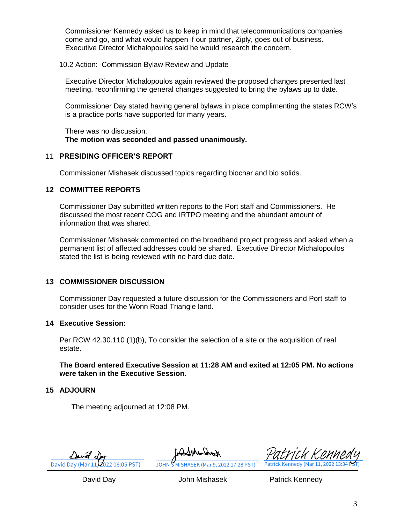Commissioner Kennedy asked us to keep in mind that telecommunications companies come and go, and what would happen if our partner, Ziply, goes out of business. Executive Director Michalopoulos said he would research the concern.

10.2 Action: Commission Bylaw Review and Update

Executive Director Michalopoulos again reviewed the proposed changes presented last meeting, reconfirming the general changes suggested to bring the bylaws up to date.

Commissioner Day stated having general bylaws in place complimenting the states RCW's is a practice ports have supported for many years.

There was no discussion. **The motion was seconded and passed unanimously.** 

#### 11 **PRESIDING OFFICER'S REPORT**

Commissioner Mishasek discussed topics regarding biochar and bio solids.

#### **12 COMMITTEE REPORTS**

Commissioner Day submitted written reports to the Port staff and Commissioners. He discussed the most recent COG and IRTPO meeting and the abundant amount of information that was shared.

Commissioner Mishasek commented on the broadband project progress and asked when a permanent list of affected addresses could be shared. Executive Director Michalopoulos stated the list is being reviewed with no hard due date.

#### **13 COMMISSIONER DISCUSSION**

Commissioner Day requested a future discussion for the Commissioners and Port staff to consider uses for the Wonn Road Triangle land.

#### **14 Executive Session:**

Per RCW 42.30.110 (1)(b), To consider the selection of a site or the acquisition of real estate.

**The Board entered Executive Session at 11:28 AM and exited at 12:05 PM. No actions were taken in the Executive Session.**

#### **15 ADJOURN**

The meeting adjourned at 12:08 PM.

[David Day \(Mar 11, 2022 06:05 PST\)](https://na3.documents.adobe.com/verifier?tx=CBJCHBCAABAAARuyjkUAdLodBJgmylCsmCrVrudUcHoA) [JOHN S MISHASEK \(Mar 9, 2022 17:28 PST\)](https://na3.documents.adobe.com/verifier?tx=CBJCHBCAABAAARuyjkUAdLodBJgmylCsmCrVrudUcHoA)

Grad Munback

[Patrick Kennedy](https://na3.documents.adobe.com/verifier?tx=CBJCHBCAABAAARuyjkUAdLodBJgmylCsmCrVrudUcHoA)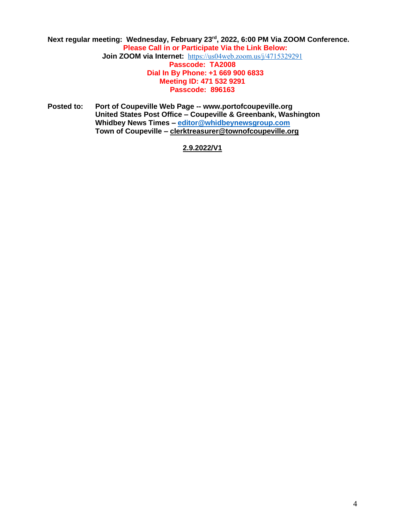#### Next regular meeting: Wednesday, February 23<sup>rd</sup>, 2022, 6:00 PM Via ZOOM Conference. **Please Call in or Participate Via the Link Below: Join ZOOM via Internet:** <https://us04web.zoom.us/j/4715329291> **Passcode: TA2008 Dial In By Phone: +1 669 900 6833 Meeting ID: 471 532 9291 Passcode: 896163**

**Posted to: Port of Coupeville Web Page -- www.portofcoupeville.org United States Post Office – Coupeville & Greenbank, Washington Whidbey News Times – [editor@whidbeynewsgroup.com](mailto:editor@whidbeynewsgroup.com) Town of Coupeville – [clerktreasurer@townofcoupeville.org](mailto:clerktreasurer@townofcoupeville.org)**

#### **2.9.2022/V1**